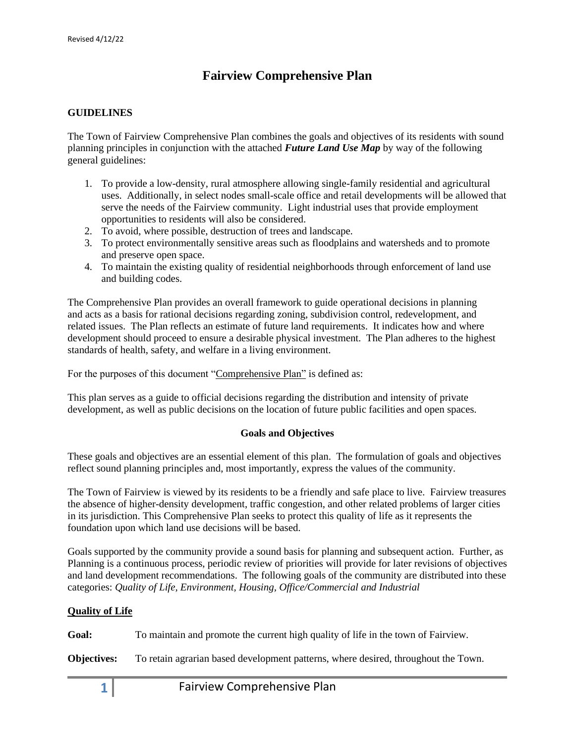# **Fairview Comprehensive Plan**

## **GUIDELINES**

The Town of Fairview Comprehensive Plan combines the goals and objectives of its residents with sound planning principles in conjunction with the attached *Future Land Use Map* by way of the following general guidelines:

- 1. To provide a low-density, rural atmosphere allowing single-family residential and agricultural uses. Additionally, in select nodes small-scale office and retail developments will be allowed that serve the needs of the Fairview community. Light industrial uses that provide employment opportunities to residents will also be considered.
- 2. To avoid, where possible, destruction of trees and landscape.
- 3. To protect environmentally sensitive areas such as floodplains and watersheds and to promote and preserve open space.
- 4. To maintain the existing quality of residential neighborhoods through enforcement of land use and building codes.

The Comprehensive Plan provides an overall framework to guide operational decisions in planning and acts as a basis for rational decisions regarding zoning, subdivision control, redevelopment, and related issues. The Plan reflects an estimate of future land requirements. It indicates how and where development should proceed to ensure a desirable physical investment. The Plan adheres to the highest standards of health, safety, and welfare in a living environment.

For the purposes of this document "Comprehensive Plan" is defined as:

This plan serves as a guide to official decisions regarding the distribution and intensity of private development, as well as public decisions on the location of future public facilities and open spaces.

### **Goals and Objectives**

These goals and objectives are an essential element of this plan. The formulation of goals and objectives reflect sound planning principles and, most importantly, express the values of the community.

The Town of Fairview is viewed by its residents to be a friendly and safe place to live. Fairview treasures the absence of higher-density development, traffic congestion, and other related problems of larger cities in its jurisdiction. This Comprehensive Plan seeks to protect this quality of life as it represents the foundation upon which land use decisions will be based.

Goals supported by the community provide a sound basis for planning and subsequent action. Further, as Planning is a continuous process, periodic review of priorities will provide for later revisions of objectives and land development recommendations. The following goals of the community are distributed into these categories: *Quality of Life, Environment, Housing, Office/Commercial and Industrial*

## **Quality of Life**

**Goal:** To maintain and promote the current high quality of life in the town of Fairview.

**Objectives:** To retain agrarian based development patterns, where desired, throughout the Town.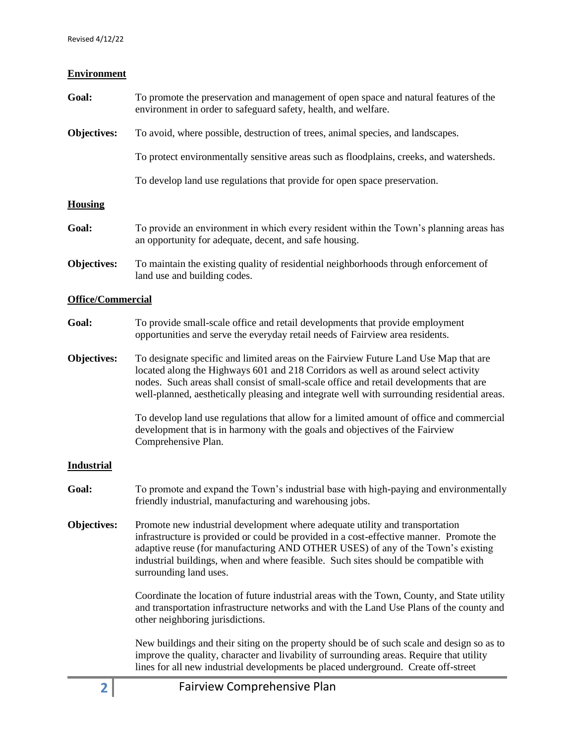## **Environment**

- **Goal:** To promote the preservation and management of open space and natural features of the environment in order to safeguard safety, health, and welfare.
- **Objectives:** To avoid, where possible, destruction of trees, animal species, and landscapes.

To protect environmentally sensitive areas such as floodplains, creeks, and watersheds.

To develop land use regulations that provide for open space preservation.

### **Housing**

| Goal: | To provide an environment in which every resident within the Town's planning areas has |
|-------|----------------------------------------------------------------------------------------|
|       | an opportunity for adequate, decent, and safe housing.                                 |

**Objectives:** To maintain the existing quality of residential neighborhoods through enforcement of land use and building codes.

### **Office/Commercial**

- **Goal:** To provide small-scale office and retail developments that provide employment opportunities and serve the everyday retail needs of Fairview area residents.
- **Objectives:** To designate specific and limited areas on the Fairview Future Land Use Map that are located along the Highways 601 and 218 Corridors as well as around select activity nodes. Such areas shall consist of small-scale office and retail developments that are well-planned, aesthetically pleasing and integrate well with surrounding residential areas.

To develop land use regulations that allow for a limited amount of office and commercial development that is in harmony with the goals and objectives of the Fairview Comprehensive Plan.

### **Industrial**

- **Goal:** To promote and expand the Town's industrial base with high-paying and environmentally friendly industrial, manufacturing and warehousing jobs.
- **Objectives:** Promote new industrial development where adequate utility and transportation infrastructure is provided or could be provided in a cost-effective manner. Promote the adaptive reuse (for manufacturing AND OTHER USES) of any of the Town's existing industrial buildings, when and where feasible. Such sites should be compatible with surrounding land uses.

Coordinate the location of future industrial areas with the Town, County, and State utility and transportation infrastructure networks and with the Land Use Plans of the county and other neighboring jurisdictions.

New buildings and their siting on the property should be of such scale and design so as to improve the quality, character and livability of surrounding areas. Require that utility lines for all new industrial developments be placed underground. Create off-street